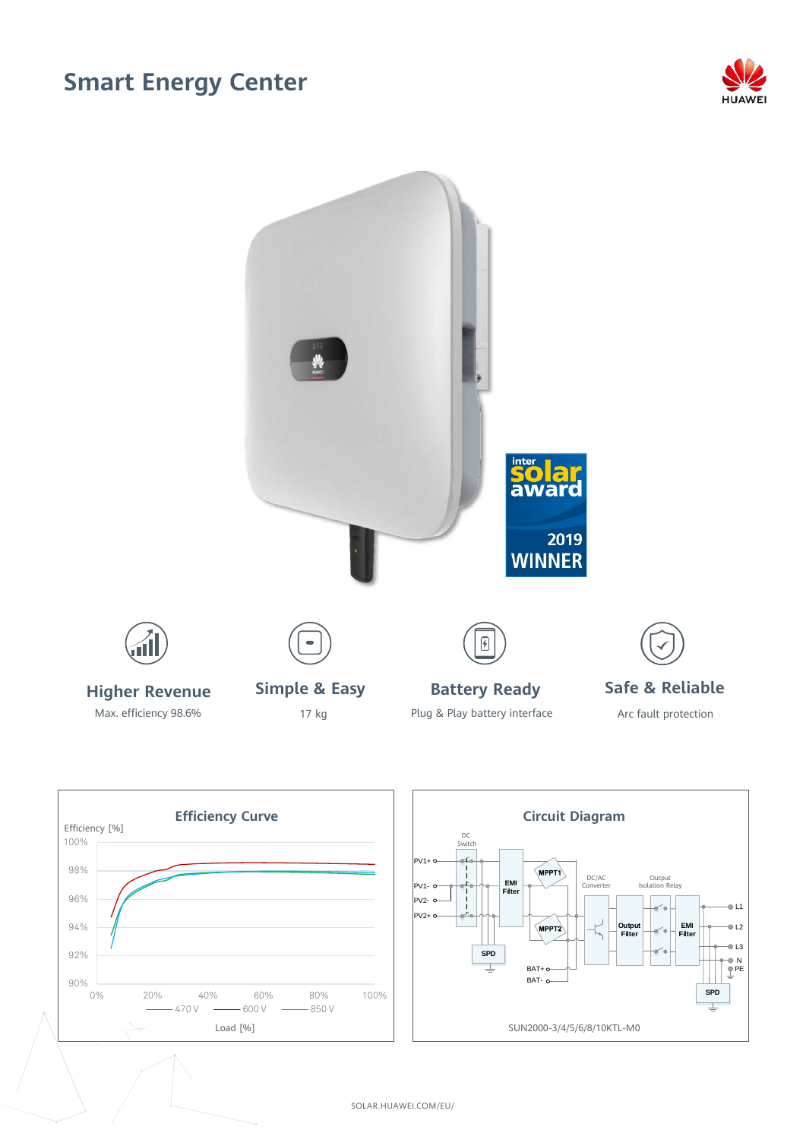## **Smart Energy Center**



Output Isolation Relay

**EMI Filter**

**SPD**

L2  $-0.13$ N PE





SOLAR.HUAWEI.COM/EU/